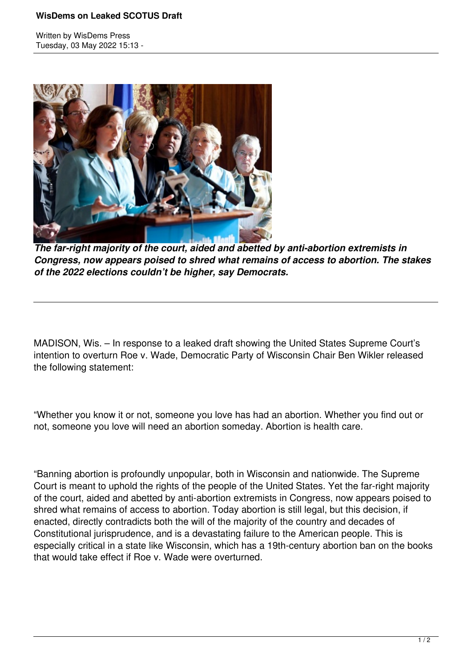## **WisDems on Leaked SCOTUS Draft**

Written by WisDems Press Tuesday, 03 May 2022 15:13 -



*The far-right majority of the court, aided and abetted by anti-abortion extremists in Congress, now appears poised to shred what remains of access to abortion. The stakes of the 2022 elections couldn't be higher, say Democrats.*

MADISON, Wis. – In response to a leaked draft showing the United States Supreme Court's intention to overturn Roe v. Wade, Democratic Party of Wisconsin Chair Ben Wikler released the following statement:

"Whether you know it or not, someone you love has had an abortion. Whether you find out or not, someone you love will need an abortion someday. Abortion is health care.

"Banning abortion is profoundly unpopular, both in Wisconsin and nationwide. The Supreme Court is meant to uphold the rights of the people of the United States. Yet the far-right majority of the court, aided and abetted by anti-abortion extremists in Congress, now appears poised to shred what remains of access to abortion. Today abortion is still legal, but this decision, if enacted, directly contradicts both the will of the majority of the country and decades of Constitutional jurisprudence, and is a devastating failure to the American people. This is especially critical in a state like Wisconsin, which has a 19th-century abortion ban on the books that would take effect if Roe v. Wade were overturned.